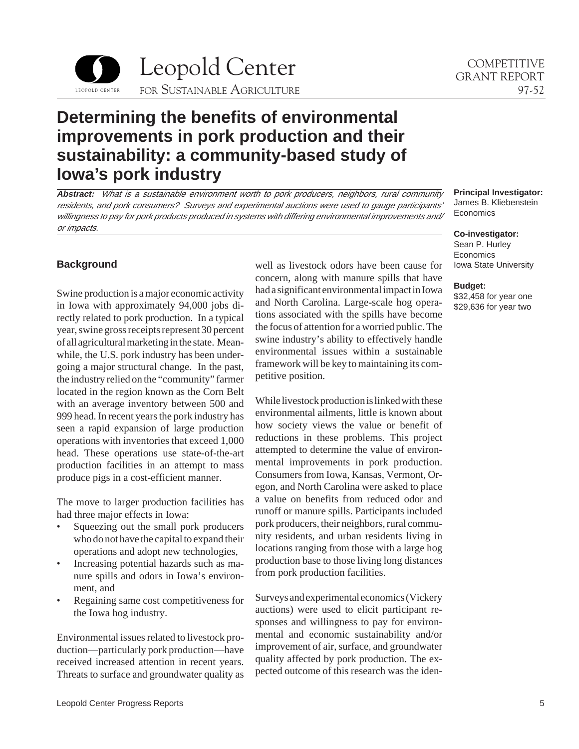

# **Determining the benefits of environmental improvements in pork production and their sustainability: a community-based study of Iowa's pork industry**

**Abstract:** What is a sustainable environment worth to pork producers, neighbors, rural community residents, and pork consumers? Surveys and experimental auctions were used to gauge participants' willingness to pay for pork products produced in systems with differing environmental improvements and/ or impacts.

## **Background**

Swine production is a major economic activity in Iowa with approximately 94,000 jobs directly related to pork production. In a typical year, swine gross receipts represent 30 percent of all agricultural marketing in the state. Meanwhile, the U.S. pork industry has been undergoing a major structural change. In the past, the industry relied on the "community" farmer located in the region known as the Corn Belt with an average inventory between 500 and 999 head. In recent years the pork industry has seen a rapid expansion of large production operations with inventories that exceed 1,000 head. These operations use state-of-the-art production facilities in an attempt to mass produce pigs in a cost-efficient manner.

The move to larger production facilities has had three major effects in Iowa:

- Squeezing out the small pork producers who do not have the capital to expand their operations and adopt new technologies,
- Increasing potential hazards such as manure spills and odors in Iowa's environment, and
- Regaining same cost competitiveness for the Iowa hog industry.

Environmental issues related to livestock production—particularly pork production—have received increased attention in recent years. Threats to surface and groundwater quality as well as livestock odors have been cause for concern, along with manure spills that have had a significant environmental impact in Iowa and North Carolina. Large-scale hog operations associated with the spills have become the focus of attention for a worried public. The swine industry's ability to effectively handle environmental issues within a sustainable framework will be key to maintaining its competitive position.

While livestock production is linked with these environmental ailments, little is known about how society views the value or benefit of reductions in these problems. This project attempted to determine the value of environmental improvements in pork production. Consumers from Iowa, Kansas, Vermont, Oregon, and North Carolina were asked to place a value on benefits from reduced odor and runoff or manure spills. Participants included pork producers, their neighbors, rural community residents, and urban residents living in locations ranging from those with a large hog production base to those living long distances from pork production facilities.

Surveys and experimental economics (Vickery auctions) were used to elicit participant responses and willingness to pay for environmental and economic sustainability and/or improvement of air, surface, and groundwater quality affected by pork production. The expected outcome of this research was the iden-

**Principal Investigator:**  James B. Kliebenstein Economics

**Co-investigator:**  Sean P. Hurley Economics Iowa State University

**Budget:** 

\$32,458 for year one \$29,636 for year two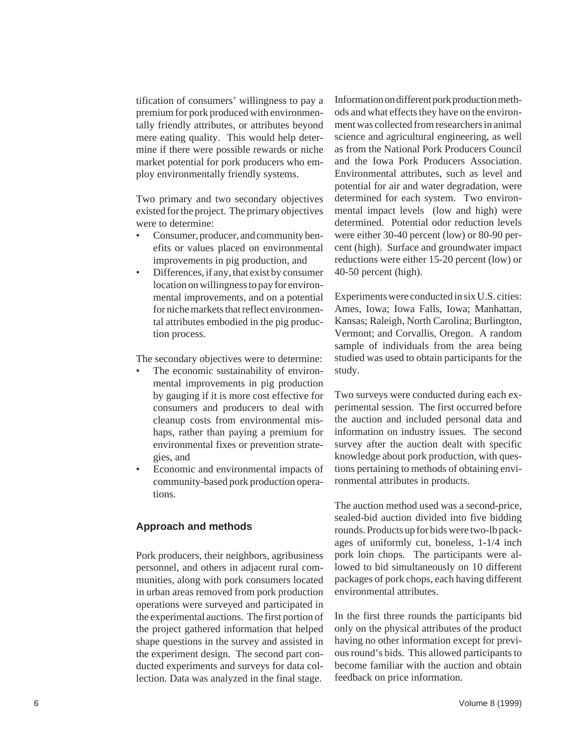tification of consumers' willingness to pay a premium for pork produced with environmentally friendly attributes, or attributes beyond mere eating quality. This would help determine if there were possible rewards or niche market potential for pork producers who employ environmentally friendly systems.

Two primary and two secondary objectives existed for the project. The primary objectives were to determine:

- • Consumer, producer, and community benefits or values placed on environmental improvements in pig production, and
- Differences, if any, that exist by consumer location on willingness to pay for environmental improvements, and on a potential for niche markets that reflect environmental attributes embodied in the pig production process.

The secondary objectives were to determine:

- The economic sustainability of environmental improvements in pig production by gauging if it is more cost effective for consumers and producers to deal with cleanup costs from environmental mishaps, rather than paying a premium for environmental fixes or prevention strategies, and
- Economic and environmental impacts of community-based pork production operations.

### **Approach and methods**

Pork producers, their neighbors, agribusiness personnel, and others in adjacent rural communities, along with pork consumers located in urban areas removed from pork production operations were surveyed and participated in the experimental auctions. The first portion of the project gathered information that helped shape questions in the survey and assisted in the experiment design. The second part conducted experiments and surveys for data collection. Data was analyzed in the final stage.

Information on different pork production methods and what effects they have on the environment was collected from researchers in animal science and agricultural engineering, as well as from the National Pork Producers Council and the Iowa Pork Producers Association. Environmental attributes, such as level and potential for air and water degradation, were determined for each system. Two environmental impact levels (low and high) were determined. Potential odor reduction levels were either 30-40 percent (low) or 80-90 percent (high). Surface and groundwater impact reductions were either 15-20 percent (low) or 40-50 percent (high).

Experiments were conducted in six U.S. cities: Ames, Iowa; Iowa Falls, Iowa; Manhattan, Kansas; Raleigh, North Carolina; Burlington, Vermont; and Corvallis, Oregon. A random sample of individuals from the area being studied was used to obtain participants for the study.

Two surveys were conducted during each experimental session. The first occurred before the auction and included personal data and information on industry issues. The second survey after the auction dealt with specific knowledge about pork production, with questions pertaining to methods of obtaining environmental attributes in products.

The auction method used was a second-price, sealed-bid auction divided into five bidding rounds. Products up for bids were two-lb packages of uniformly cut, boneless, 1-1/4 inch pork loin chops. The participants were allowed to bid simultaneously on 10 different packages of pork chops, each having different environmental attributes.

In the first three rounds the participants bid only on the physical attributes of the product having no other information except for previous round's bids. This allowed participants to become familiar with the auction and obtain feedback on price information.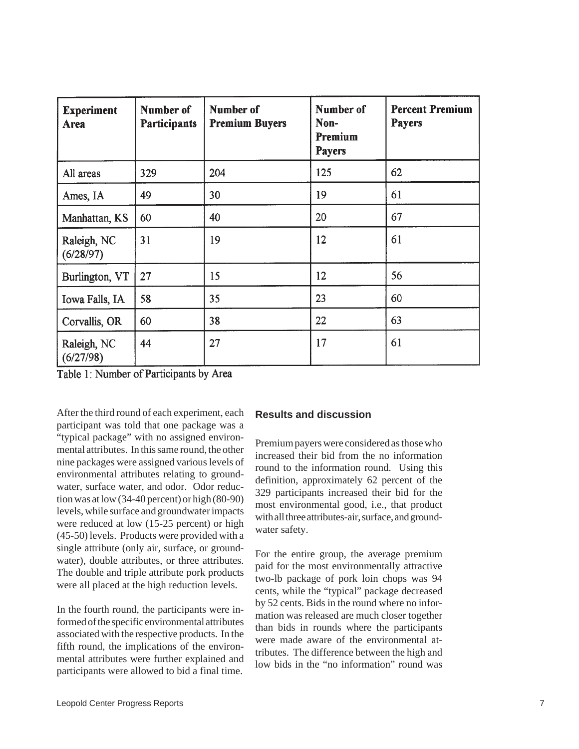| <b>Experiment</b><br>Area | Number of<br><b>Participants</b> | Number of<br><b>Premium Buyers</b> | Number of<br>Non-<br>Premium<br><b>Payers</b> | <b>Percent Premium</b><br><b>Payers</b> |
|---------------------------|----------------------------------|------------------------------------|-----------------------------------------------|-----------------------------------------|
| All areas                 | 329                              | 204                                | 125                                           | 62                                      |
| Ames, IA                  | 49                               | 30                                 | 19                                            | 61                                      |
| Manhattan, KS             | 60                               | 40                                 | 20                                            | 67                                      |
| Raleigh, NC<br>(6/28/97)  | 31                               | 19                                 | 12                                            | 61                                      |
| Burlington, VT            | 27                               | 15                                 | 12                                            | 56                                      |
| Iowa Falls, IA            | 58                               | 35                                 | 23                                            | 60                                      |
| Corvallis, OR             | 60                               | 38                                 | 22                                            | 63                                      |
| Raleigh, NC<br>(6/27/98)  | 44                               | 27                                 | 17                                            | 61                                      |

Table 1: Number of Participants by Area

After the third round of each experiment, each participant was told that one package was a "typical package" with no assigned environmental attributes. In this same round, the other nine packages were assigned various levels of environmental attributes relating to groundwater, surface water, and odor. Odor reduction was at low (34-40 percent) or high (80-90) levels, while surface and groundwater impacts were reduced at low  $(15-25)$  percent) or high (45-50) levels. Products were provided with a single attribute (only air, surface, or groundwater), double attributes, or three attributes. The double and triple attribute pork products were all placed at the high reduction levels.

In the fourth round, the participants were informed of the specific environmental attributes associated with the respective products. In the fifth round, the implications of the environmental attributes were further explained and participants were allowed to bid a final time.

## **Results and discussion**

Premium payers were considered as those who increased their bid from the no information round to the information round. Using this definition, approximately 62 percent of the 329 participants increased their bid for the most environmental good, i.e., that product with all three attributes-air, surface, and groundwater safety.

For the entire group, the average premium paid for the most environmentally attractive two-lb package of pork loin chops was 94 cents, while the "typical" package decreased by 52 cents. Bids in the round where no information was released are much closer together than bids in rounds where the participants were made aware of the environmental attributes. The difference between the high and low bids in the "no information" round was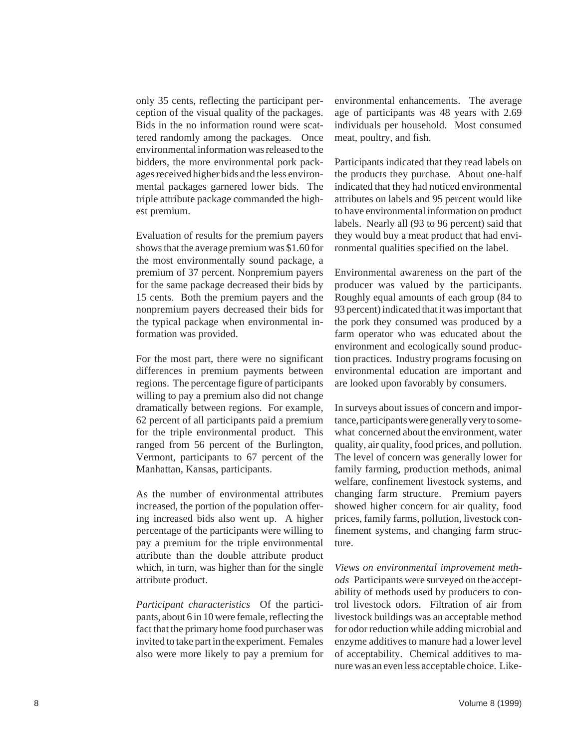only 35 cents, reflecting the participant perception of the visual quality of the packages. Bids in the no information round were scattered randomly among the packages. Once environmental information was released to the bidders, the more environmental pork packages received higher bids and the less environmental packages garnered lower bids. The triple attribute package commanded the highest premium.

Evaluation of results for the premium payers shows that the average premium was \$1.60 for the most environmentally sound package, a premium of 37 percent. Nonpremium payers for the same package decreased their bids by 15 cents. Both the premium payers and the nonpremium payers decreased their bids for the typical package when environmental information was provided.

For the most part, there were no significant differences in premium payments between regions. The percentage figure of participants willing to pay a premium also did not change dramatically between regions. For example, 62 percent of all participants paid a premium for the triple environmental product. This ranged from 56 percent of the Burlington, Vermont, participants to 67 percent of the Manhattan, Kansas, participants.

As the number of environmental attributes increased, the portion of the population offering increased bids also went up. A higher percentage of the participants were willing to pay a premium for the triple environmental attribute than the double attribute product which, in turn, was higher than for the single attribute product.

*Participant characteristics* Of the participants, about 6 in 10 were female, reflecting the fact that the primary home food purchaser was invited to take part in the experiment. Females also were more likely to pay a premium for environmental enhancements. The average age of participants was 48 years with 2.69 individuals per household. Most consumed meat, poultry, and fish.

Participants indicated that they read labels on the products they purchase. About one-half indicated that they had noticed environmental attributes on labels and 95 percent would like to have environmental information on product labels. Nearly all (93 to 96 percent) said that they would buy a meat product that had environmental qualities specified on the label.

Environmental awareness on the part of the producer was valued by the participants. Roughly equal amounts of each group (84 to 93 percent) indicated that it was important that the pork they consumed was produced by a farm operator who was educated about the environment and ecologically sound production practices. Industry programs focusing on environmental education are important and are looked upon favorably by consumers.

In surveys about issues of concern and importance, participants were generally very to somewhat concerned about the environment, water quality, air quality, food prices, and pollution. The level of concern was generally lower for family farming, production methods, animal welfare, confinement livestock systems, and changing farm structure. Premium payers showed higher concern for air quality, food prices, family farms, pollution, livestock confinement systems, and changing farm structure.

*Views on environmental improvement methods* Participants were surveyed on the acceptability of methods used by producers to control livestock odors. Filtration of air from livestock buildings was an acceptable method for odor reduction while adding microbial and enzyme additives to manure had a lower level of acceptability. Chemical additives to manure was an even less acceptable choice. Like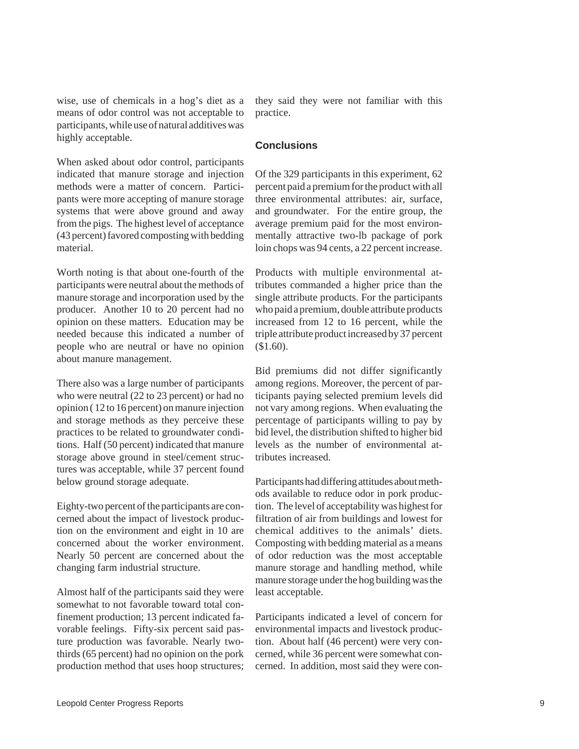wise, use of chemicals in a hog's diet as a means of odor control was not acceptable to participants, while use of natural additives was highly acceptable.

When asked about odor control, participants indicated that manure storage and injection methods were a matter of concern. Participants were more accepting of manure storage systems that were above ground and away from the pigs. The highest level of acceptance (43 percent) favored composting with bedding material.

Worth noting is that about one-fourth of the participants were neutral about the methods of manure storage and incorporation used by the producer. Another 10 to 20 percent had no opinion on these matters. Education may be needed because this indicated a number of people who are neutral or have no opinion about manure management.

There also was a large number of participants who were neutral (22 to 23 percent) or had no opinion ( 12 to 16 percent) on manure injection and storage methods as they perceive these practices to be related to groundwater conditions. Half (50 percent) indicated that manure storage above ground in steel/cement structures was acceptable, while 37 percent found below ground storage adequate.

Eighty-two percent of the participants are concerned about the impact of livestock production on the environment and eight in 10 are concerned about the worker environment. Nearly 50 percent are concerned about the changing farm industrial structure.

Almost half of the participants said they were somewhat to not favorable toward total confinement production; 13 percent indicated favorable feelings. Fifty-six percent said pasture production was favorable. Nearly twothirds (65 percent) had no opinion on the pork production method that uses hoop structures; they said they were not familiar with this practice.

### **Conclusions**

Of the 329 participants in this experiment, 62 percent paid a premium for the product with all three environmental attributes: air, surface, and groundwater. For the entire group, the average premium paid for the most environmentally attractive two-lb package of pork loin chops was 94 cents, a 22 percent increase.

Products with multiple environmental attributes commanded a higher price than the single attribute products. For the participants who paid a premium, double attribute products increased from 12 to 16 percent, while the triple attribute product increased by 37 percent (\$1.60).

Bid premiums did not differ significantly among regions. Moreover, the percent of participants paying selected premium levels did not vary among regions. When evaluating the percentage of participants willing to pay by bid level, the distribution shifted to higher bid levels as the number of environmental attributes increased.

Participants had differing attitudes about methods available to reduce odor in pork production. The level of acceptability was highest for filtration of air from buildings and lowest for chemical additives to the animals' diets. Composting with bedding material as a means of odor reduction was the most acceptable manure storage and handling method, while manure storage under the hog building was the least acceptable.

Participants indicated a level of concern for environmental impacts and livestock production. About half (46 percent) were very concerned, while 36 percent were somewhat concerned. In addition, most said they were con